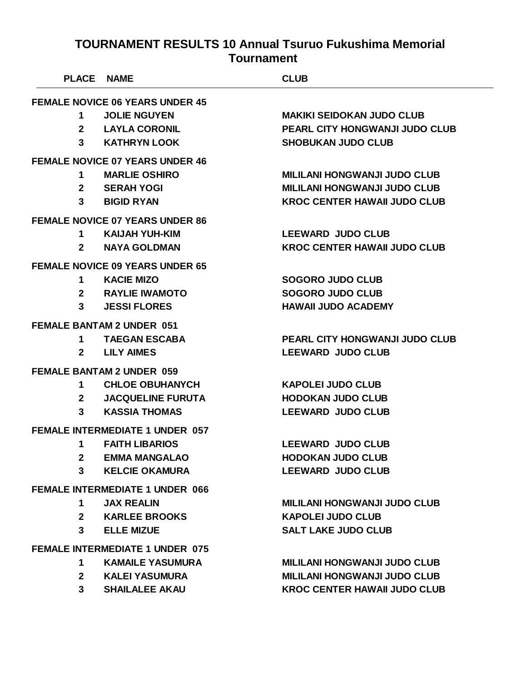| <b>PLACE NAME</b> |                                        | <b>CLUB</b>                           |
|-------------------|----------------------------------------|---------------------------------------|
|                   | <b>FEMALE NOVICE 06 YEARS UNDER 45</b> |                                       |
| 1                 | <b>JOLIE NGUYEN</b>                    | <b>MAKIKI SEIDOKAN JUDO CLUB</b>      |
| $\mathbf{2}$      | <b>LAYLA CORONIL</b>                   | PEARL CITY HONGWANJI JUDO CLUB        |
|                   | 3 KATHRYN LOOK                         | <b>SHOBUKAN JUDO CLUB</b>             |
|                   | <b>FEMALE NOVICE 07 YEARS UNDER 46</b> |                                       |
| $\mathbf 1$       | <b>MARLIE OSHIRO</b>                   | <b>MILILANI HONGWANJI JUDO CLUB</b>   |
|                   | 2 SERAH YOGI                           | <b>MILILANI HONGWANJI JUDO CLUB</b>   |
| $3^{\circ}$       | <b>BIGID RYAN</b>                      | <b>KROC CENTER HAWAII JUDO CLUB</b>   |
|                   | <b>FEMALE NOVICE 07 YEARS UNDER 86</b> |                                       |
| $\mathbf 1$       | <b>KAIJAH YUH-KIM</b>                  | <b>LEEWARD JUDO CLUB</b>              |
| $2^{\circ}$       | <b>NAYA GOLDMAN</b>                    | <b>KROC CENTER HAWAII JUDO CLUB</b>   |
|                   | <b>FEMALE NOVICE 09 YEARS UNDER 65</b> |                                       |
| $1 \quad$         | <b>KACIE MIZO</b>                      | <b>SOGORO JUDO CLUB</b>               |
|                   | 2 RAYLIE IWAMOTO                       | <b>SOGORO JUDO CLUB</b>               |
| $3^{\circ}$       | <b>JESSI FLORES</b>                    | <b>HAWAII JUDO ACADEMY</b>            |
|                   | <b>FEMALE BANTAM 2 UNDER 051</b>       |                                       |
|                   | 1 TAEGAN ESCABA                        | <b>PEARL CITY HONGWANJI JUDO CLUB</b> |
|                   | 2 LILY AIMES                           | <b>LEEWARD JUDO CLUB</b>              |
|                   | <b>FEMALE BANTAM 2 UNDER 059</b>       |                                       |
| 1                 | <b>CHLOE OBUHANYCH</b>                 | <b>KAPOLEI JUDO CLUB</b>              |
| $\mathbf{2}$      | <b>JACQUELINE FURUTA</b>               | <b>HODOKAN JUDO CLUB</b>              |
| $3^{\circ}$       | <b>KASSIA THOMAS</b>                   | <b>LEEWARD JUDO CLUB</b>              |
|                   | <b>FEMALE INTERMEDIATE 1 UNDER 057</b> |                                       |
| 1                 | <b>FAITH LIBARIOS</b>                  | <b>LEEWARD JUDO CLUB</b>              |
| $2 \rightarrow$   | <b>EMMA MANGALAO</b>                   | <b>HODOKAN JUDO CLUB</b>              |
| $\mathbf{3}$      | <b>KELCIE OKAMURA</b>                  | <b>LEEWARD JUDO CLUB</b>              |
|                   | <b>FEMALE INTERMEDIATE 1 UNDER 066</b> |                                       |
| $1 \quad$         | <b>JAX REALIN</b>                      | <b>MILILANI HONGWANJI JUDO CLUB</b>   |
|                   | 2 KARLEE BROOKS                        | <b>KAPOLEI JUDO CLUB</b>              |
| $3^{\circ}$       | <b>ELLE MIZUE</b>                      | <b>SALT LAKE JUDO CLUB</b>            |
|                   | <b>FEMALE INTERMEDIATE 1 UNDER 075</b> |                                       |
| 1                 | <b>KAMAILE YASUMURA</b>                | <b>MILILANI HONGWANJI JUDO CLUB</b>   |
|                   | 2 KALEI YASUMURA                       | <b>MILILANI HONGWANJI JUDO CLUB</b>   |
|                   | 3 SHAILALEE AKAU                       | <b>KROC CENTER HAWAII JUDO CLUB</b>   |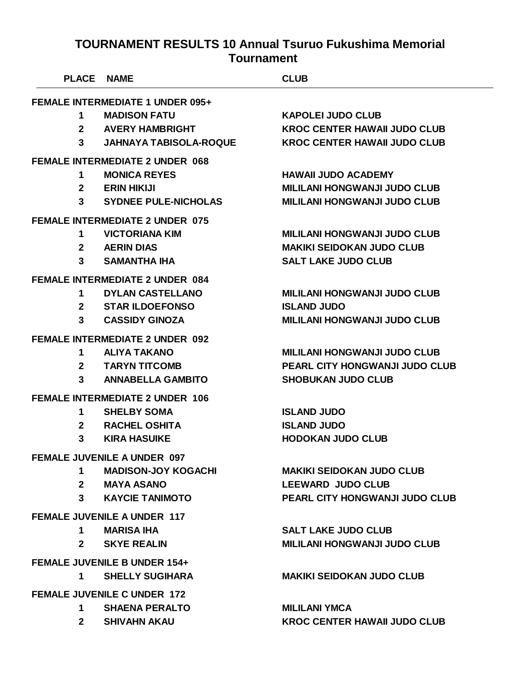|                                         | <b>PLACE NAME</b> |                                        | <b>CLUB</b>                         |
|-----------------------------------------|-------------------|----------------------------------------|-------------------------------------|
| <b>FEMALE INTERMEDIATE 1 UNDER 095+</b> |                   |                                        |                                     |
|                                         | 1                 | <b>MADISON FATU</b>                    | <b>KAPOLEI JUDO CLUB</b>            |
|                                         |                   | 2 AVERY HAMBRIGHT                      | <b>KROC CENTER HAWAII JUDO CLUB</b> |
|                                         | $3^{\circ}$       | <b>JAHNAYA TABISOLA-ROQUE</b>          | <b>KROC CENTER HAWAII JUDO CLUB</b> |
|                                         |                   | <b>FEMALE INTERMEDIATE 2 UNDER 068</b> |                                     |
|                                         | 1                 | <b>MONICA REYES</b>                    | <b>HAWAII JUDO ACADEMY</b>          |
|                                         |                   | 2 ERIN HIKIJI                          | <b>MILILANI HONGWANJI JUDO CLUB</b> |
|                                         |                   | 3 SYDNEE PULE-NICHOLAS                 | <b>MILILANI HONGWANJI JUDO CLUB</b> |
|                                         |                   | <b>FEMALE INTERMEDIATE 2 UNDER 075</b> |                                     |
|                                         | 1                 | <b>VICTORIANA KIM</b>                  | <b>MILILANI HONGWANJI JUDO CLUB</b> |
|                                         |                   | 2 AERIN DIAS                           | <b>MAKIKI SEIDOKAN JUDO CLUB</b>    |
|                                         | 3                 | <b>SAMANTHA IHA</b>                    | <b>SALT LAKE JUDO CLUB</b>          |
|                                         |                   | <b>FEMALE INTERMEDIATE 2 UNDER 084</b> |                                     |
|                                         | $\mathbf 1$       | <b>DYLAN CASTELLANO</b>                | <b>MILILANI HONGWANJI JUDO CLUB</b> |
|                                         |                   | 2 STAR ILDOEFONSO                      | <b>ISLAND JUDO</b>                  |
|                                         | $3^{\circ}$       | <b>CASSIDY GINOZA</b>                  | <b>MILILANI HONGWANJI JUDO CLUB</b> |
|                                         |                   | <b>FEMALE INTERMEDIATE 2 UNDER 092</b> |                                     |
|                                         | 1                 | <b>ALIYA TAKANO</b>                    | <b>MILILANI HONGWANJI JUDO CLUB</b> |
|                                         |                   | 2 TARYN TITCOMB                        | PEARL CITY HONGWANJI JUDO CLUB      |
|                                         | $3^{\circ}$       | <b>ANNABELLA GAMBITO</b>               | <b>SHOBUKAN JUDO CLUB</b>           |
|                                         |                   | <b>FEMALE INTERMEDIATE 2 UNDER 106</b> |                                     |
|                                         | 1                 | <b>SHELBY SOMA</b>                     | <b>ISLAND JUDO</b>                  |
|                                         | $\mathbf{2}$      | <b>RACHEL OSHITA</b>                   | <b>ISLAND JUDO</b>                  |
|                                         | $\mathbf{3}$      | <b>KIRA HASUIKE</b>                    | <b>HODOKAN JUDO CLUB</b>            |
|                                         |                   | <b>FEMALE JUVENILE A UNDER 097</b>     |                                     |
|                                         | $1 \quad$         | <b>MADISON-JOY KOGACHI</b>             | <b>MAKIKI SEIDOKAN JUDO CLUB</b>    |
|                                         |                   | 2 MAYA ASANO                           | <b>LEEWARD JUDO CLUB</b>            |
|                                         |                   | 3 KAYCIE TANIMOTO                      | PEARL CITY HONGWANJI JUDO CLUB      |
|                                         |                   | <b>FEMALE JUVENILE A UNDER 117</b>     |                                     |
|                                         | 1                 | <b>MARISA IHA</b>                      | <b>SALT LAKE JUDO CLUB</b>          |
|                                         | $2^{\circ}$       | <b>SKYE REALIN</b>                     | <b>MILILANI HONGWANJI JUDO CLUB</b> |
|                                         |                   | <b>FEMALE JUVENILE B UNDER 154+</b>    |                                     |
|                                         |                   | 1 SHELLY SUGIHARA                      | <b>MAKIKI SEIDOKAN JUDO CLUB</b>    |
|                                         |                   | <b>FEMALE JUVENILE C UNDER 172</b>     |                                     |
|                                         | $1 \quad$         | <b>SHAENA PERALTO</b>                  | <b>MILILANI YMCA</b>                |

**SHIVAHN AKAU KROC CENTER HAWAII JUDO CLUB**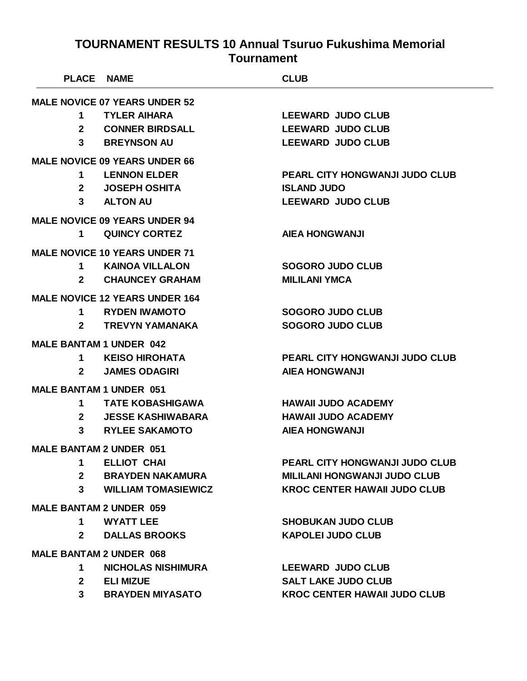| <b>PLACE NAME</b>              |                                       | <b>CLUB</b>                           |  |
|--------------------------------|---------------------------------------|---------------------------------------|--|
|                                | <b>MALE NOVICE 07 YEARS UNDER 52</b>  |                                       |  |
| 1                              | <b>TYLER AIHARA</b>                   | <b>LEEWARD JUDO CLUB</b>              |  |
| $2^{\circ}$                    | <b>CONNER BIRDSALL</b>                | <b>LEEWARD JUDO CLUB</b>              |  |
|                                | 3 BREYNSON AU                         | <b>LEEWARD JUDO CLUB</b>              |  |
|                                | <b>MALE NOVICE 09 YEARS UNDER 66</b>  |                                       |  |
|                                | 1 LENNON ELDER                        | <b>PEARL CITY HONGWANJI JUDO CLUB</b> |  |
|                                | 2 JOSEPH OSHITA                       | <b>ISLAND JUDO</b>                    |  |
|                                | 3 ALTON AU                            | <b>LEEWARD JUDO CLUB</b>              |  |
|                                | <b>MALE NOVICE 09 YEARS UNDER 94</b>  |                                       |  |
| 1                              | <b>QUINCY CORTEZ</b>                  | <b>AIEA HONGWANJI</b>                 |  |
|                                | <b>MALE NOVICE 10 YEARS UNDER 71</b>  |                                       |  |
|                                | 1 KAINOA VILLALON                     | <b>SOGORO JUDO CLUB</b>               |  |
|                                | 2 CHAUNCEY GRAHAM                     | <b>MILILANI YMCA</b>                  |  |
|                                | <b>MALE NOVICE 12 YEARS UNDER 164</b> |                                       |  |
| 1.                             | <b>RYDEN IWAMOTO</b>                  | <b>SOGORO JUDO CLUB</b>               |  |
| $\mathbf{2}$                   | <b>TREVYN YAMANAKA</b>                | <b>SOGORO JUDO CLUB</b>               |  |
| <b>MALE BANTAM 1 UNDER 042</b> |                                       |                                       |  |
| 1                              | KEISO HIROHATA                        | <b>PEARL CITY HONGWANJI JUDO CLUB</b> |  |
| $2^{\circ}$                    | <b>JAMES ODAGIRI</b>                  | <b>AIEA HONGWANJI</b>                 |  |
| <b>MALE BANTAM 1 UNDER 051</b> |                                       |                                       |  |
| 1                              | <b>TATE KOBASHIGAWA</b>               | <b>HAWAII JUDO ACADEMY</b>            |  |
| $\mathbf{2}$                   | <b>JESSE KASHIWABARA</b>              | <b>HAWAII JUDO ACADEMY</b>            |  |
| 3 <sup>1</sup>                 | <b>RYLEE SAKAMOTO</b>                 | <b>AIEA HONGWANJI</b>                 |  |
| <b>MALE BANTAM 2 UNDER 051</b> |                                       |                                       |  |
| 1                              | <b>ELLIOT CHAI</b>                    | <b>PEARL CITY HONGWANJI JUDO CLUB</b> |  |
| $2^{\circ}$                    | <b>BRAYDEN NAKAMURA</b>               | <b>MILILANI HONGWANJI JUDO CLUB</b>   |  |
| $3^{\circ}$                    | <b>WILLIAM TOMASIEWICZ</b>            | <b>KROC CENTER HAWAII JUDO CLUB</b>   |  |
| <b>MALE BANTAM 2 UNDER 059</b> |                                       |                                       |  |
| 1                              | <b>WYATT LEE</b>                      | <b>SHOBUKAN JUDO CLUB</b>             |  |
| $2^{\circ}$                    | <b>DALLAS BROOKS</b>                  | <b>KAPOLEI JUDO CLUB</b>              |  |
| <b>MALE BANTAM 2 UNDER 068</b> |                                       |                                       |  |
| 1                              | <b>NICHOLAS NISHIMURA</b>             | <b>LEEWARD JUDO CLUB</b>              |  |
| 2 <sup>1</sup>                 | <b>ELI MIZUE</b>                      | <b>SALT LAKE JUDO CLUB</b>            |  |
| $\mathbf{3}$                   | <b>BRAYDEN MIYASATO</b>               | <b>KROC CENTER HAWAII JUDO CLUB</b>   |  |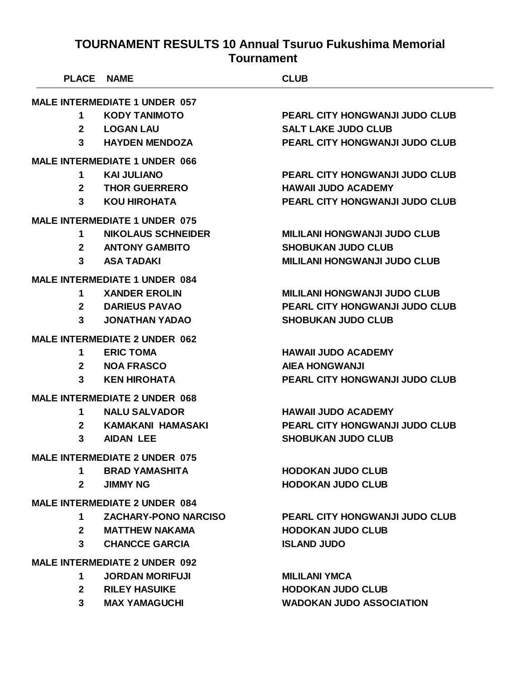| PLACE NAME                           |                                      | <b>CLUB</b>                           |  |  |
|--------------------------------------|--------------------------------------|---------------------------------------|--|--|
| <b>MALE INTERMEDIATE 1 UNDER 057</b> |                                      |                                       |  |  |
| 1                                    | <b>KODY TANIMOTO</b>                 | <b>PEARL CITY HONGWANJI JUDO CLUB</b> |  |  |
| $\overline{2}$                       | <b>LOGAN LAU</b>                     | <b>SALT LAKE JUDO CLUB</b>            |  |  |
| 3                                    | <b>HAYDEN MENDOZA</b>                | <b>PEARL CITY HONGWANJI JUDO CLUB</b> |  |  |
|                                      | <b>MALE INTERMEDIATE 1 UNDER 066</b> |                                       |  |  |
| $\mathbf 1$                          | <b>KAI JULIANO</b>                   | <b>PEARL CITY HONGWANJI JUDO CLUB</b> |  |  |
| $\mathbf{2}$                         | <b>THOR GUERRERO</b>                 | <b>HAWAII JUDO ACADEMY</b>            |  |  |
| $\mathbf{3}$                         | <b>KOU HIROHATA</b>                  | <b>PEARL CITY HONGWANJI JUDO CLUB</b> |  |  |
|                                      | <b>MALE INTERMEDIATE 1 UNDER 075</b> |                                       |  |  |
| $\mathbf 1$                          | <b>NIKOLAUS SCHNEIDER</b>            | <b>MILILANI HONGWANJI JUDO CLUB</b>   |  |  |
| 2 <sup>1</sup>                       | <b>ANTONY GAMBITO</b>                | <b>SHOBUKAN JUDO CLUB</b>             |  |  |
| 3                                    | <b>ASA TADAKI</b>                    | <b>MILILANI HONGWANJI JUDO CLUB</b>   |  |  |
|                                      | <b>MALE INTERMEDIATE 1 UNDER 084</b> |                                       |  |  |
| 1                                    | <b>XANDER EROLIN</b>                 | <b>MILILANI HONGWANJI JUDO CLUB</b>   |  |  |
| $\mathbf{2}$                         | <b>DARIEUS PAVAO</b>                 | <b>PEARL CITY HONGWANJI JUDO CLUB</b> |  |  |
| 3                                    | <b>JONATHAN YADAO</b>                | <b>SHOBUKAN JUDO CLUB</b>             |  |  |
|                                      | <b>MALE INTERMEDIATE 2 UNDER 062</b> |                                       |  |  |
| 1                                    | <b>ERIC TOMA</b>                     | <b>HAWAII JUDO ACADEMY</b>            |  |  |
| $\mathbf{2}$                         | <b>NOA FRASCO</b>                    | <b>AIEA HONGWANJI</b>                 |  |  |
| 3                                    | <b>KEN HIROHATA</b>                  | <b>PEARL CITY HONGWANJI JUDO CLUB</b> |  |  |
|                                      | <b>MALE INTERMEDIATE 2 UNDER 068</b> |                                       |  |  |
| 1                                    | <b>NALU SALVADOR</b>                 | <b>HAWAII JUDO ACADEMY</b>            |  |  |
| $\mathbf{2}$                         | <b>KAMAKANI HAMASAKI</b>             | <b>PEARL CITY HONGWANJI JUDO CLUB</b> |  |  |
| 3                                    | <b>AIDAN LEE</b>                     | <b>SHOBUKAN JUDO CLUB</b>             |  |  |
|                                      | <b>MALE INTERMEDIATE 2 UNDER 075</b> |                                       |  |  |
| 1                                    | <b>BRAD YAMASHITA</b>                | <b>HODOKAN JUDO CLUB</b>              |  |  |
| $\mathbf{2}$                         | <b>JIMMY NG</b>                      | <b>HODOKAN JUDO CLUB</b>              |  |  |
|                                      | <b>MALE INTERMEDIATE 2 UNDER 084</b> |                                       |  |  |
| 1                                    | <b>ZACHARY-PONO NARCISO</b>          | <b>PEARL CITY HONGWANJI JUDO CLUB</b> |  |  |
| $\mathbf{2}$                         | <b>MATTHEW NAKAMA</b>                | <b>HODOKAN JUDO CLUB</b>              |  |  |
| 3                                    | <b>CHANCCE GARCIA</b>                | <b>ISLAND JUDO</b>                    |  |  |
|                                      | <b>MALE INTERMEDIATE 2 UNDER 092</b> |                                       |  |  |
| 1                                    | <b>JORDAN MORIFUJI</b>               | <b>MILILANI YMCA</b>                  |  |  |
| $\mathbf{2}$                         | <b>RILEY HASUIKE</b>                 | <b>HODOKAN JUDO CLUB</b>              |  |  |
| 3                                    | <b>MAX YAMAGUCHI</b>                 | <b>WADOKAN JUDO ASSOCIATION</b>       |  |  |